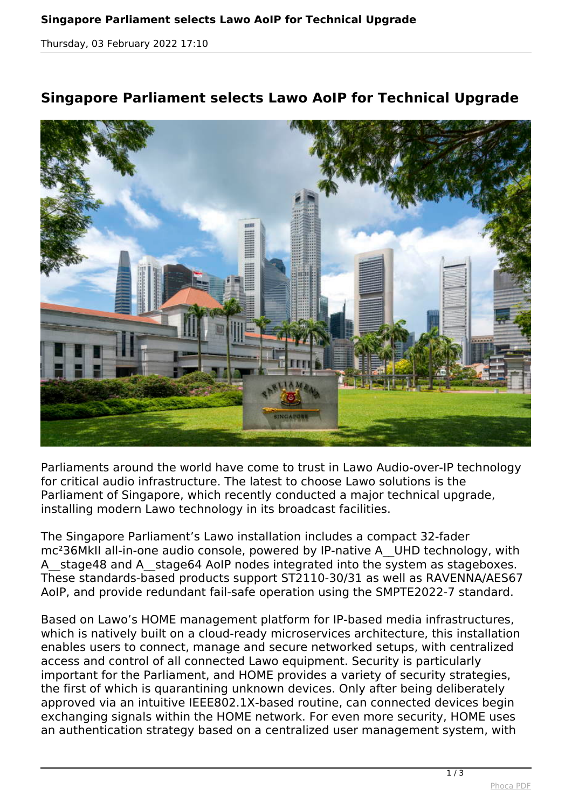*Thursday, 03 February 2022 17:10*

## **Singapore Parliament selects Lawo AoIP for Technical Upgrade**



*Parliaments around the world have come to trust in Lawo Audio-over-IP technology for critical audio infrastructure. The latest to choose Lawo solutions is the Parliament of Singapore, which recently conducted a major technical upgrade, installing modern Lawo technology in its broadcast facilities.*

*The Singapore Parliament's Lawo installation includes a compact 32-fader mc²36MkII all-in-one audio console, powered by IP-native A\_\_UHD technology, with A\_\_stage48 and A\_\_stage64 AoIP nodes integrated into the system as stageboxes. These standards-based products support ST2110-30/31 as well as RAVENNA/AES67 AoIP, and provide redundant fail-safe operation using the SMPTE2022-7 standard.*

*Based on Lawo's HOME management platform for IP-based media infrastructures, which is natively built on a cloud-ready microservices architecture, this installation enables users to connect, manage and secure networked setups, with centralized access and control of all connected Lawo equipment. Security is particularly important for the Parliament, and HOME provides a variety of security strategies, the first of which is quarantining unknown devices. Only after being deliberately approved via an intuitive IEEE802.1X-based routine, can connected devices begin exchanging signals within the HOME network. For even more security, HOME uses an authentication strategy based on a centralized user management system, with*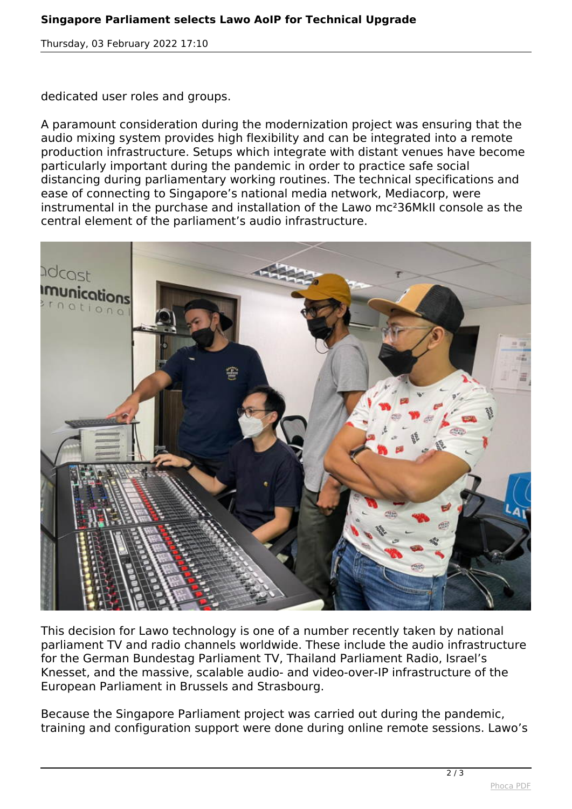*Thursday, 03 February 2022 17:10*

*dedicated user roles and groups.*

*A paramount consideration during the modernization project was ensuring that the audio mixing system provides high flexibility and can be integrated into a remote production infrastructure. Setups which integrate with distant venues have become particularly important during the pandemic in order to practice safe social distancing during parliamentary working routines. The technical specifications and ease of connecting to Singapore's national media network, Mediacorp, were instrumental in the purchase and installation of the Lawo mc²36MkII console as the central element of the parliament's audio infrastructure.*



*This decision for Lawo technology is one of a number recently taken by national parliament TV and radio channels worldwide. These include the audio infrastructure for the German Bundestag Parliament TV, Thailand Parliament Radio, Israel's Knesset, and the massive, scalable audio- and video-over-IP infrastructure of the European Parliament in Brussels and Strasbourg.*

*Because the Singapore Parliament project was carried out during the pandemic, training and configuration support were done during online remote sessions. Lawo's*